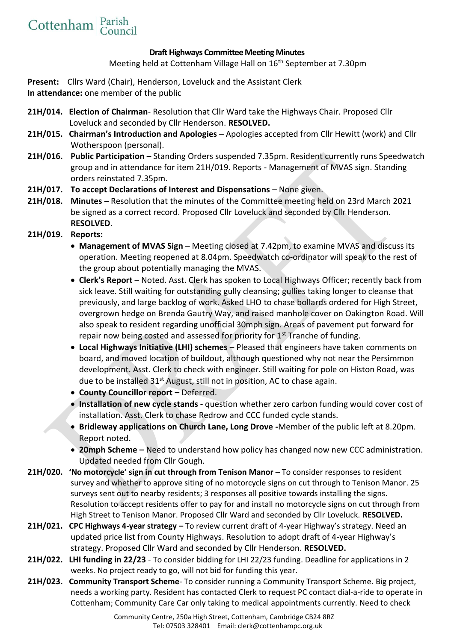## **Draft Highways Committee Meeting Minutes**

Meeting held at Cottenham Village Hall on 16<sup>th</sup> September at 7.30pm

**Present:** Cllrs Ward (Chair), Henderson, Loveluck and the Assistant Clerk **In attendance:** one member of the public

- **21H/014. Election of Chairman** Resolution that Cllr Ward take the Highways Chair. Proposed Cllr Loveluck and seconded by Cllr Henderson. **RESOLVED.**
- **21H/015. Chairman's Introduction and Apologies –** Apologies accepted from Cllr Hewitt (work) and Cllr Wotherspoon (personal).
- **21H/016. Public Participation –** Standing Orders suspended 7.35pm. Resident currently runs Speedwatch group and in attendance for item 21H/019. Reports - Management of MVAS sign. Standing orders reinstated 7.35pm.
- **21H/017. To accept Declarations of Interest and Dispensations**  None given.
- **21H/018. Minutes –** Resolution that the minutes of the Committee meeting held on 23rd March 2021 be signed as a correct record. Proposed Cllr Loveluck and seconded by Cllr Henderson. **RESOLVED**.
- **21H/019. Reports:**
	- **Management of MVAS Sign –** Meeting closed at 7.42pm, to examine MVAS and discuss its operation. Meeting reopened at 8.04pm. Speedwatch co-ordinator will speak to the rest of the group about potentially managing the MVAS.
	- **Clerk's Report** Noted. Asst. Clerk has spoken to Local Highways Officer; recently back from sick leave. Still waiting for outstanding gully cleansing; gullies taking longer to cleanse that previously, and large backlog of work. Asked LHO to chase bollards ordered for High Street, overgrown hedge on Brenda Gautry Way, and raised manhole cover on Oakington Road. Will also speak to resident regarding unofficial 30mph sign. Areas of pavement put forward for repair now being costed and assessed for priority for  $1<sup>st</sup>$  Tranche of funding.
	- **Local Highways Initiative (LHI) schemes** Pleased that engineers have taken comments on board, and moved location of buildout, although questioned why not near the Persimmon development. Asst. Clerk to check with engineer. Still waiting for pole on Histon Road, was due to be installed 31<sup>st</sup> August, still not in position, AC to chase again.
	- **County Councillor report –** Deferred.
	- **Installation of new cycle stands -** question whether zero carbon funding would cover cost of installation. Asst. Clerk to chase Redrow and CCC funded cycle stands.
	- **Bridleway applications on Church Lane, Long Drove -**Member of the public left at 8.20pm. Report noted.
	- **20mph Scheme –** Need to understand how policy has changed now new CCC administration. Updated needed from Cllr Gough.
- **21H/020. 'No motorcycle' sign in cut through from Tenison Manor –** To consider responses to resident survey and whether to approve siting of no motorcycle signs on cut through to Tenison Manor. 25 surveys sent out to nearby residents; 3 responses all positive towards installing the signs. Resolution to accept residents offer to pay for and install no motorcycle signs on cut through from High Street to Tenison Manor. Proposed Cllr Ward and seconded by Cllr Loveluck. **RESOLVED.**
- **21H/021. CPC Highways 4-year strategy –** To review current draft of 4-year Highway's strategy. Need an updated price list from County Highways. Resolution to adopt draft of 4-year Highway's strategy. Proposed Cllr Ward and seconded by Cllr Henderson. **RESOLVED.**
- **21H/022. LHI funding in 22/23** To consider bidding for LHI 22/23 funding. Deadline for applications in 2 weeks. No project ready to go, will not bid for funding this year.
- **21H/023. Community Transport Scheme** To consider running a Community Transport Scheme. Big project, needs a working party. Resident has contacted Clerk to request PC contact dial-a-ride to operate in Cottenham; Community Care Car only taking to medical appointments currently. Need to check